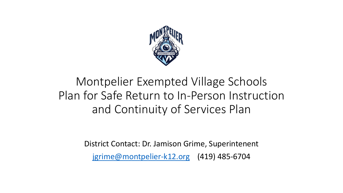

## Montpelier Exempted Village Schools Plan for Safe Return to In-Person Instruction and Continuity of Services Plan

District Contact: Dr. Jamison Grime, Superintenent [jgrime@montpelier-k12.org](mailto:jgrime@montpelier-k12.org) (419) 485-6704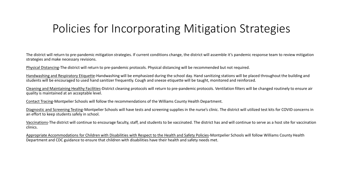#### Policies for Incorporating Mitigation Strategies

The district will return to pre-pandemic mitigation strategies. If current conditions change, the district will assemble it's pandemic response team to review mitigation strategies and make necessary revisions.

Physical Distancing-The district will return to pre-pandemic protocols. Physical distancing will be recommended but not required.

Handwashing and Respiratory Etiquette-Handwashing will be emphasized during the school day. Hand sanitizing stations will be placed throughout the building and students will be encouraged to used hand sanitizer frequently. Cough and sneeze etiquette will be taught, monitored and reinforced.

Cleaning and Maintaining Healthy Facilities-District cleaning protocols will return to pre-pandemic protocols. Ventilation filters will be changed routinely to ensure air quality is maintained at an acceptable level.

Contact Tracing-Montpelier Schools will follow the recommendations of the Williams County Health Department.

Diagnostic and Screening Testing-Montpelier Schools will have tests and screening supplies in the nurse's clinic. The district will utilized test kits for COVID concerns in an effort to keep students safely in school.

Vaccinations-The district will continue to encourage faculty, staff, and students to be vaccinated. The district has and will continue to serve as a host site for vaccination clinics.

Appropriate Accommodations for Children with Disabilities with Respect to the Health and Safety Policies-Montpelier Schools will follow Williams County Health Department and CDC guidance to ensure that children with disabilities have their health and safety needs met.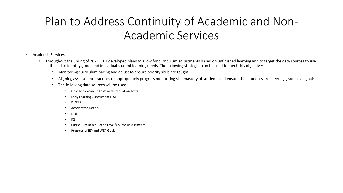### Plan to Address Continuity of Academic and Non-Academic Services

#### • Academic Services

- Throughout the Spring of 2021, TBT developed plans to allow for curriculum adjustments based on unfinished learning and to target the data sources to use in the fall to identify group and individual student learning needs. The following strategies can be used to meet this objective:
	- Monitoring curriculum pacing and adjust to ensure priority skills are taught
	- Aligning assessment practices to appropriately progress monitoring skill mastery of students and ensure that students are meeting grade level goals
	- The following data sources will be used
		- Ohio Achievement Tests and Graduation Tests
		- Early Learning Assessment (PS)
		- DIBELS
		- Accelerated Reader
		- Lexia
		- IXL
		- Curriculum Based Grade Level/Course Assessments
		- Progress of IEP and WEP Goals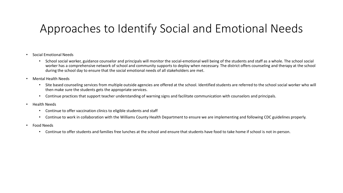#### Approaches to Identify Social and Emotional Needs

- Social Emotional Needs
	- School social worker, guidance counselor and principals will monitor the social-emotional well being of the students and staff as a whole. The school social worker has a comprehensive network of school and community supports to deploy when necessary. The district offers counseling and therapy at the school during the school day to ensure that the social emotional needs of all stakeholders are met.
- Mental Health Needs
	- Site based counseling services from multiple outside agencies are offered at the school. Identified students are referred to the school social worker who will then make sure the students gets the appropriate services.
	- Continue practices that support teacher understanding of warning signs and facilitate communication with counselors and principals.
- Health Needs
	- Continue to offer vaccination clinics to eligible students and staff
	- Continue to work in collaboration with the Williams County Health Department to ensure we are implementing and following CDC guidelines properly.
- Food Needs
	- Continue to offer students and families free lunches at the school and ensure that students have food to take home if school is not in-person.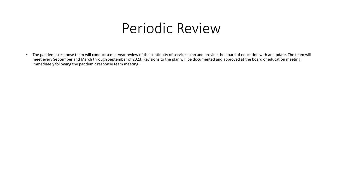# Periodic Review

• The pandemic response team will conduct a mid-year review of the continuity of services plan and provide the board of education with an update. The team will meet every September and March through September of 2023. Revisions to the plan will be documented and approved at the board of education meeting immediately following the pandemic response team meeting.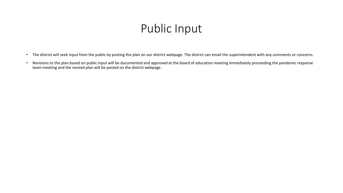#### Public Input

- The district will seek input from the public by posting the plan on our district webpage. The district can email the superintendent with any comments or concerns.
- Revisions to the plan based on public input will be documented and approved at the board of education meeting immediately proceeding the pandemic response team meeting and the revised plan will be posted on the district webpage.